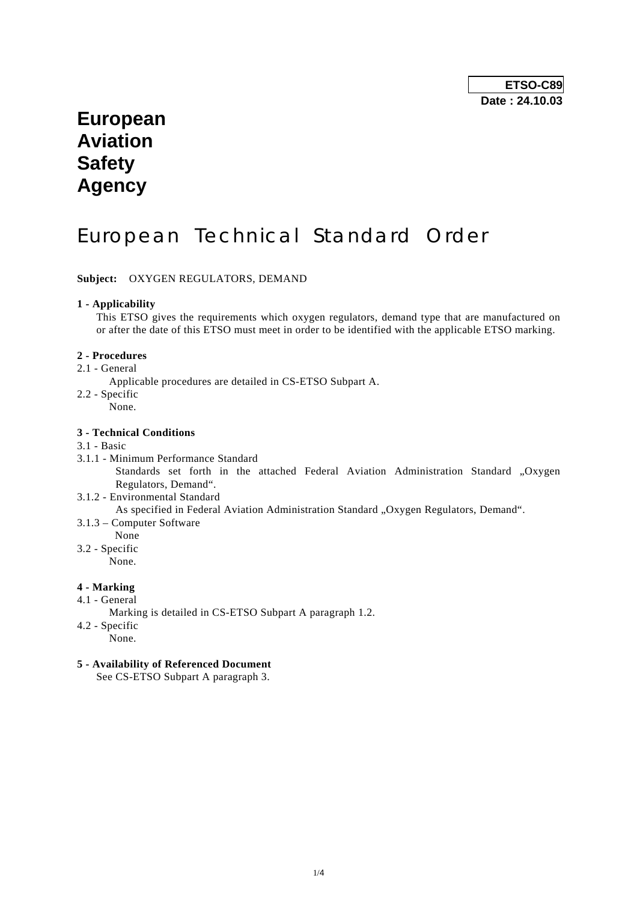# **European Aviation Safety Agency**

# European Technical Standard Order

**Subject:** OXYGEN REGULATORS, DEMAND

## **1 - Applicability**

 This ETSO gives the requirements which oxygen regulators, demand type that are manufactured on or after the date of this ETSO must meet in order to be identified with the applicable ETSO marking.

### **2 - Procedures**

2.1 - General

Applicable procedures are detailed in CS-ETSO Subpart A.

- 2.2 Specific
	- None.

## **3 - Technical Conditions**

### 3.1 - Basic

- 3.1.1 Minimum Performance Standard Standards set forth in the attached Federal Aviation Administration Standard "Oxygen Regulators, Demand".
- 3.1.2 Environmental Standard

As specified in Federal Aviation Administration Standard "Oxygen Regulators, Demand".

- 3.1.3 Computer Software
- None
- 3.2 Specific

None.

# **4 - Marking**

- 4.1 General
	- Marking is detailed in CS-ETSO Subpart A paragraph 1.2.
- 4.2 Specific
	- None.

## **5 - Availability of Referenced Document**

See CS-ETSO Subpart A paragraph 3.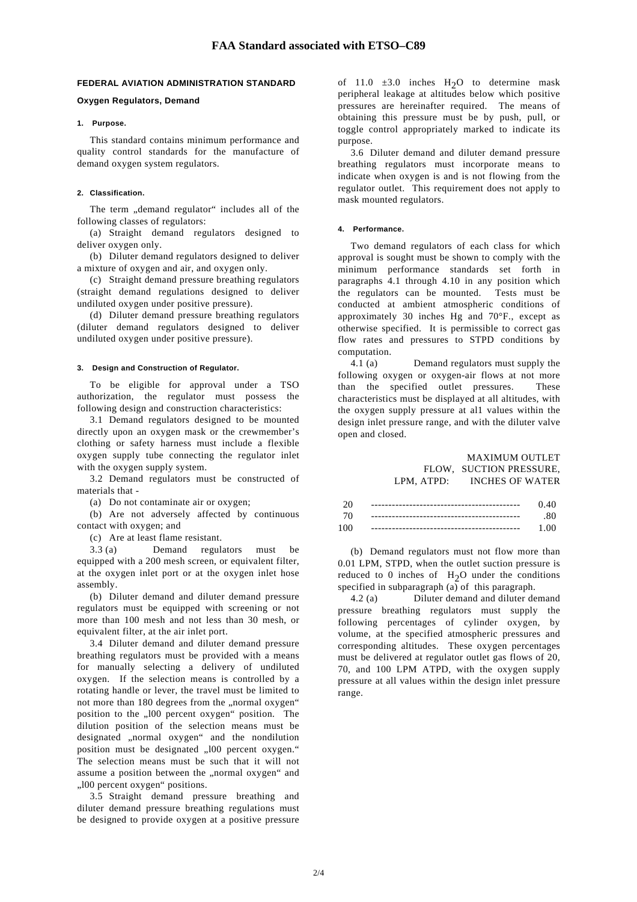#### **FEDERAL AVIATION ADMINISTRATION STANDARD**

#### **Oxygen Regulators, Demand**

#### **1. Purpose.**

 This standard contains minimum performance and quality control standards for the manufacture of demand oxygen system regulators.

#### **2. Classification.**

The term "demand regulator" includes all of the following classes of regulators:

 (a) Straight demand regulators designed to deliver oxygen only.

 (b) Diluter demand regulators designed to deliver a mixture of oxygen and air, and oxygen only.

 (c) Straight demand pressure breathing regulators (straight demand regulations designed to deliver undiluted oxygen under positive pressure).

 (d) Diluter demand pressure breathing regulators (diluter demand regulators designed to deliver undiluted oxygen under positive pressure).

#### **3. Design and Construction of Regulator.**

 To be eligible for approval under a TSO authorization, the regulator must possess the following design and construction characteristics:

 3.1 Demand regulators designed to be mounted directly upon an oxygen mask or the crewmember's clothing or safety harness must include a flexible oxygen supply tube connecting the regulator inlet with the oxygen supply system.

 3.2 Demand regulators must be constructed of materials that -

(a) Do not contaminate air or oxygen;

 (b) Are not adversely affected by continuous contact with oxygen; and

(c) Are at least flame resistant.

 3.3 (a) Demand regulators must be equipped with a 200 mesh screen, or equivalent filter, at the oxygen inlet port or at the oxygen inlet hose assembly.

 (b) Diluter demand and diluter demand pressure regulators must be equipped with screening or not more than 100 mesh and not less than 30 mesh, or equivalent filter, at the air inlet port.

 3.4 Diluter demand and diluter demand pressure breathing regulators must be provided with a means for manually selecting a delivery of undiluted oxygen. If the selection means is controlled by a rotating handle or lever, the travel must be limited to not more than 180 degrees from the "normal oxygen" position to the "100 percent oxygen" position. The dilution position of the selection means must be designated "normal oxygen" and the nondilution position must be designated ...100 percent oxygen." The selection means must be such that it will not assume a position between the ..normal oxygen" and ..100 percent oxygen" positions.

 3.5 Straight demand pressure breathing and diluter demand pressure breathing regulations must be designed to provide oxygen at a positive pressure

of 11.0  $\pm 3.0$  inches H<sub>2</sub>O to determine mask peripheral leakage at altitudes below which positive pressures are hereinafter required. The means of obtaining this pressure must be by push, pull, or toggle control appropriately marked to indicate its purpose.

 3.6 Diluter demand and diluter demand pressure breathing regulators must incorporate means to indicate when oxygen is and is not flowing from the regulator outlet. This requirement does not apply to mask mounted regulators.

#### **4. Performance.**

 Two demand regulators of each class for which approval is sought must be shown to comply with the minimum performance standards set forth in paragraphs 4.1 through 4.10 in any position which the regulators can be mounted. Tests must be conducted at ambient atmospheric conditions of approximately 30 inches Hg and 70°F., except as otherwise specified. It is permissible to correct gas flow rates and pressures to STPD conditions by computation.

 4.1 (a) Demand regulators must supply the following oxygen or oxygen-air flows at not more than the specified outlet pressures. These characteristics must be displayed at all altitudes, with the oxygen supply pressure at al1 values within the design inlet pressure range, and with the diluter valve open and closed.

#### MAXIMUM OUTLET FLOW, SUCTION PRESSURE, LPM, ATPD: INCHES OF WATER

| -20 | 0.40 |
|-----|------|
| -70 | .80  |
| 100 | 1.00 |

 (b) Demand regulators must not flow more than 0.01 LPM, STPD, when the outlet suction pressure is reduced to 0 inches of  $H_2O$  under the conditions specified in subparagraph  $(a)$  of this paragraph.

 4.2 (a) Diluter demand and diluter demand pressure breathing regulators must supply the following percentages of cylinder oxygen, by volume, at the specified atmospheric pressures and corresponding altitudes. These oxygen percentages must be delivered at regulator outlet gas flows of 20, 70, and 100 LPM ATPD, with the oxygen supply pressure at all values within the design inlet pressure range.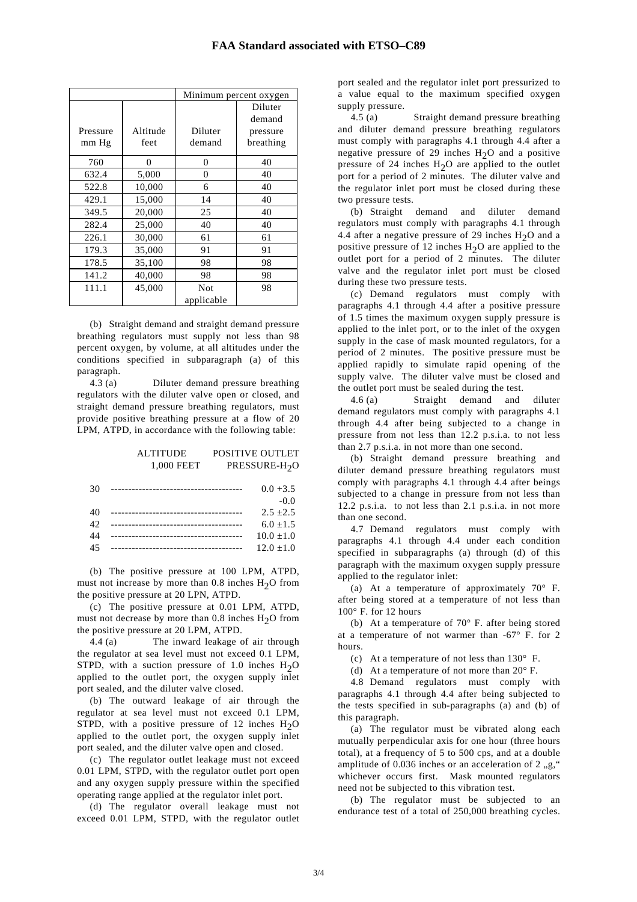|          |          | Minimum percent oxygen |           |
|----------|----------|------------------------|-----------|
|          |          |                        | Diluter   |
|          |          |                        | demand    |
| Pressure | Altitude | Diluter                | pressure  |
| mm Hg    | feet     | demand                 | breathing |
| 760      | 0        | 0                      | 40        |
| 632.4    | 5,000    | $\theta$               | 40        |
| 522.8    | 10,000   | 6                      | 40        |
| 429.1    | 15,000   | 14                     | 40        |
| 349.5    | 20,000   | 25                     | 40        |
| 282.4    | 25,000   | 40                     | 40        |
| 226.1    | 30,000   | 61                     | 61        |
| 179.3    | 35,000   | 91                     | 91        |
| 178.5    | 35,100   | 98                     | 98        |
| 141.2    | 40,000   | 98                     | 98        |
| 111.1    | 45,000   | Not                    | 98        |
|          |          | applicable             |           |

 (b) Straight demand and straight demand pressure breathing regulators must supply not less than 98 percent oxygen, by volume, at all altitudes under the conditions specified in subparagraph (a) of this paragraph.

 4.3 (a) Diluter demand pressure breathing regulators with the diluter valve open or closed, and straight demand pressure breathing regulators, must provide positive breathing pressure at a flow of 20 LPM, ATPD, in accordance with the following table:

#### ALTITUDE POSITIVE OUTLET 1,000 FEET PRESSURE-H<sub>2</sub>O

| 30 | ______________________________ | $0.0 + 3.5$  |
|----|--------------------------------|--------------|
|    |                                | $-0.0$       |
| 40 |                                | $2.5 + 2.5$  |
| 42 |                                | $6.0 + 1.5$  |
| 44 |                                | $10.0 + 1.0$ |
| 45 |                                | $12.0 + 1.0$ |

 (b) The positive pressure at 100 LPM, ATPD, must not increase by more than  $0.8$  inches  $H<sub>2</sub>O$  from the positive pressure at 20 LPN, ATPD.

 (c) The positive pressure at 0.01 LPM, ATPD, must not decrease by more than  $0.8$  inches  $H<sub>2</sub>O$  from the positive pressure at 20 LPM, ATPD.

 4.4 (a) The inward leakage of air through the regulator at sea level must not exceed 0.1 LPM, STPD, with a suction pressure of 1.0 inches  $H_2O$ applied to the outlet port, the oxygen supply inlet port sealed, and the diluter valve closed.

 (b) The outward leakage of air through the regulator at sea level must not exceed 0.1 LPM, STPD, with a positive pressure of 12 inches  $H_2O$ applied to the outlet port, the oxygen supply inlet port sealed, and the diluter valve open and closed.

 (c) The regulator outlet leakage must not exceed 0.01 LPM, STPD, with the regulator outlet port open and any oxygen supply pressure within the specified operating range applied at the regulator inlet port.

 (d) The regulator overall leakage must not exceed 0.01 LPM, STPD, with the regulator outlet port sealed and the regulator inlet port pressurized to a value equal to the maximum specified oxygen supply pressure.

 4.5 (a) Straight demand pressure breathing and diluter demand pressure breathing regulators must comply with paragraphs 4.1 through 4.4 after a negative pressure of 29 inches  $H_2O$  and a positive pressure of 24 inches  $H_2O$  are applied to the outlet port for a period of 2 minutes. The diluter valve and the regulator inlet port must be closed during these two pressure tests.

 (b) Straight demand and diluter demand regulators must comply with paragraphs 4.1 through 4.4 after a negative pressure of 29 inches  $H_2O$  and a positive pressure of 12 inches  $H_2O$  are applied to the outlet port for a period of 2 minutes. The diluter valve and the regulator inlet port must be closed during these two pressure tests.

 (c) Demand regulators must comply with paragraphs 4.1 through 4.4 after a positive pressure of 1.5 times the maximum oxygen supply pressure is applied to the inlet port, or to the inlet of the oxygen supply in the case of mask mounted regulators, for a period of 2 minutes. The positive pressure must be applied rapidly to simulate rapid opening of the supply valve. The diluter valve must be closed and the outlet port must be sealed during the test.

 4.6 (a) Straight demand and diluter demand regulators must comply with paragraphs 4.1 through 4.4 after being subjected to a change in pressure from not less than 12.2 p.s.i.a. to not less than 2.7 p.s.i.a. in not more than one second.

 (b) Straight demand pressure breathing and diluter demand pressure breathing regulators must comply with paragraphs 4.1 through 4.4 after beings subjected to a change in pressure from not less than 12.2 p.s.i.a. to not less than 2.1 p.s.i.a. in not more than one second.

 4.7 Demand regulators must comply with paragraphs 4.1 through 4.4 under each condition specified in subparagraphs (a) through (d) of this paragraph with the maximum oxygen supply pressure applied to the regulator inlet:

 (a) At a temperature of approximately 70° F. after being stored at a temperature of not less than 100° F. for 12 hours

 (b) At a temperature of 70° F. after being stored at a temperature of not warmer than -67° F. for 2 hours.

(c) At a temperature of not less than 130° F.

(d) At a temperature of not more than  $20^{\circ}$  F.

 4.8 Demand regulators must comply with paragraphs 4.1 through 4.4 after being subjected to the tests specified in sub-paragraphs (a) and (b) of this paragraph.

 (a) The regulator must be vibrated along each mutually perpendicular axis for one hour (three hours total), at a frequency of 5 to 500 cps, and at a double amplitude of  $0.036$  inches or an acceleration of  $2$ ,g," whichever occurs first. Mask mounted regulators need not be subjected to this vibration test.

 (b) The regulator must be subjected to an endurance test of a total of 250,000 breathing cycles.